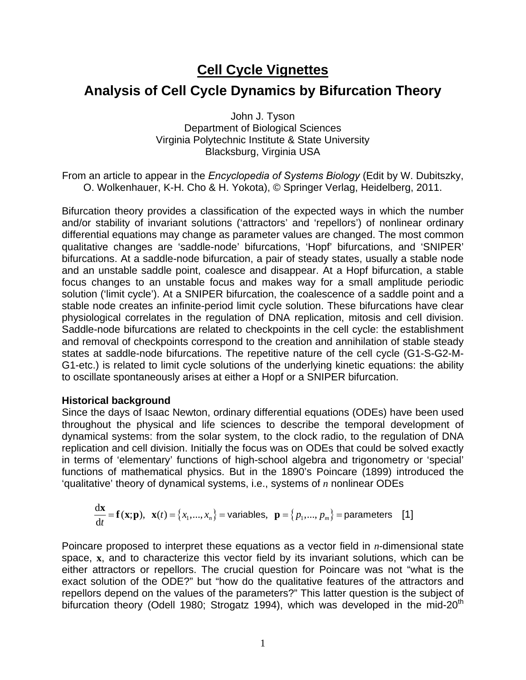# **Cell Cycle Vignettes**

## **Analysis of Cell Cycle Dynamics by Bifurcation Theory**

John J. Tyson Department of Biological Sciences Virginia Polytechnic Institute & State University Blacksburg, Virginia USA

From an article to appear in the *Encyclopedia of Systems Biology* (Edit by W. Dubitszky, O. Wolkenhauer, K-H. Cho & H. Yokota), © Springer Verlag, Heidelberg, 2011.

Bifurcation theory provides a classification of the expected ways in which the number and/or stability of invariant solutions ('attractors' and 'repellors') of nonlinear ordinary differential equations may change as parameter values are changed. The most common qualitative changes are 'saddle-node' bifurcations, 'Hopf' bifurcations, and 'SNIPER' bifurcations. At a saddle-node bifurcation, a pair of steady states, usually a stable node and an unstable saddle point, coalesce and disappear. At a Hopf bifurcation, a stable focus changes to an unstable focus and makes way for a small amplitude periodic solution ('limit cycle'). At a SNIPER bifurcation, the coalescence of a saddle point and a stable node creates an infinite-period limit cycle solution. These bifurcations have clear physiological correlates in the regulation of DNA replication, mitosis and cell division. Saddle-node bifurcations are related to checkpoints in the cell cycle: the establishment and removal of checkpoints correspond to the creation and annihilation of stable steady states at saddle-node bifurcations. The repetitive nature of the cell cycle (G1-S-G2-M-G1-etc.) is related to limit cycle solutions of the underlying kinetic equations: the ability to oscillate spontaneously arises at either a Hopf or a SNIPER bifurcation.

### **Historical background**

Since the days of Isaac Newton, ordinary differential equations (ODEs) have been used throughout the physical and life sciences to describe the temporal development of dynamical systems: from the solar system, to the clock radio, to the regulation of DNA replication and cell division. Initially the focus was on ODEs that could be solved exactly in terms of 'elementary' functions of high-school algebra and trigonometry or 'special' functions of mathematical physics. But in the 1890's Poincare (1899) introduced the 'qualitative' theory of dynamical systems, i.e., systems of *n* nonlinear ODEs

$$
\frac{d\mathbf{x}}{dt} = \mathbf{f}(\mathbf{x}; \mathbf{p}), \ \mathbf{x}(t) = \{x_1, \dots, x_n\} = \text{variables}, \ \mathbf{p} = \{p_1, \dots, p_m\} = \text{parameters} \quad [1]
$$

Poincare proposed to interpret these equations as a vector field in *n*-dimensional state space, **x**, and to characterize this vector field by its invariant solutions, which can be either attractors or repellors. The crucial question for Poincare was not "what is the exact solution of the ODE?" but "how do the qualitative features of the attractors and repellors depend on the values of the parameters?" This latter question is the subject of bifurcation theory (Odell 1980; Strogatz 1994), which was developed in the mid-20<sup>th</sup>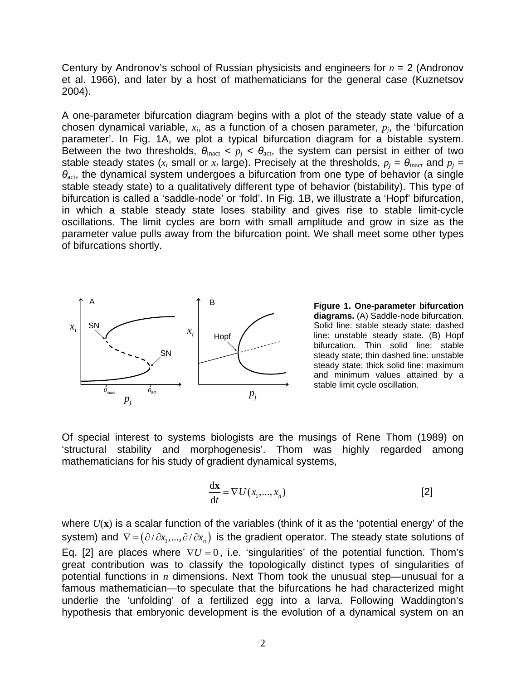Century by Andronov's school of Russian physicists and engineers for *n* = 2 (Andronov et al. 1966), and later by a host of mathematicians for the general case (Kuznetsov 2004).

A one-parameter bifurcation diagram begins with a plot of the steady state value of a chosen dynamical variable, *xi*, as a function of a chosen parameter, *pj*, the 'bifurcation parameter'. In Fig. 1A, we plot a typical bifurcation diagram for a bistable system. Between the two thresholds,  $\theta_{\text{inact}} < p_i < \theta_{\text{act}}$ , the system can persist in either of two stable steady states ( $x_i$  small or  $x_i$  large). Precisely at the thresholds,  $p_i = \theta_{\text{inact}}$  and  $p_i =$  $θ<sub>act</sub>$ , the dynamical system undergoes a bifurcation from one type of behavior (a single stable steady state) to a qualitatively different type of behavior (bistability). This type of bifurcation is called a 'saddle-node' or 'fold'. In Fig. 1B, we illustrate a 'Hopf' bifurcation, in which a stable steady state loses stability and gives rise to stable limit-cycle oscillations. The limit cycles are born with small amplitude and grow in size as the parameter value pulls away from the bifurcation point. We shall meet some other types of bifurcations shortly.



**Figure 1. One-parameter bifurcation diagrams.** (A) Saddle-node bifurcation. Solid line: stable steady state; dashed line: unstable steady state. (B) Hopf bifurcation. Thin solid line: stable steady state; thin dashed line: unstable steady state; thick solid line: maximum and minimum values attained by a stable limit cycle oscillation.

Of special interest to systems biologists are the musings of Rene Thom (1989) on 'structural stability and morphogenesis'. Thom was highly regarded among mathematicians for his study of gradient dynamical systems,

$$
\frac{\mathrm{d}\mathbf{x}}{\mathrm{d}t} = \nabla U(x_1, \dots, x_n)
$$
 [2]

where *U*(**x**) is a scalar function of the variables (think of it as the 'potential energy' of the system) and  $\nabla = (\partial / \partial x_1, ..., \partial / \partial x_n)$  is the gradient operator. The steady state solutions of Eq. [2] are places where  $\nabla U = 0$ , i.e. 'singularities' of the potential function. Thom's great contribution was to classify the topologically distinct types of singularities of potential functions in *n* dimensions. Next Thom took the unusual step—unusual for a famous mathematician—to speculate that the bifurcations he had characterized might underlie the 'unfolding' of a fertilized egg into a larva. Following Waddington's hypothesis that embryonic development is the evolution of a dynamical system on an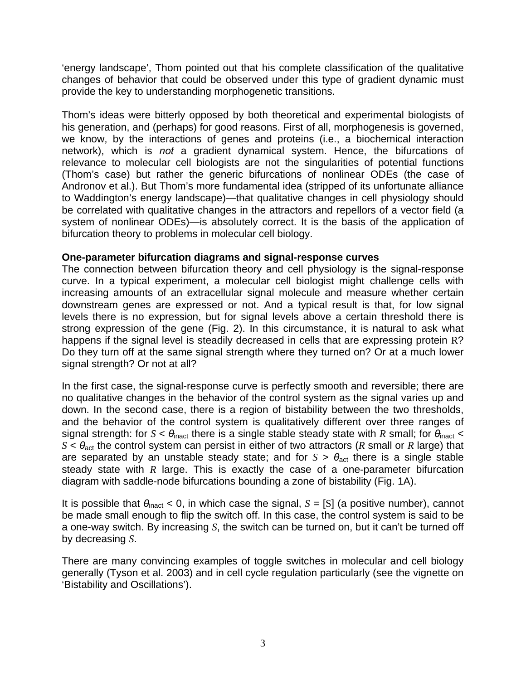'energy landscape', Thom pointed out that his complete classification of the qualitative changes of behavior that could be observed under this type of gradient dynamic must provide the key to understanding morphogenetic transitions.

Thom's ideas were bitterly opposed by both theoretical and experimental biologists of his generation, and (perhaps) for good reasons. First of all, morphogenesis is governed, we know, by the interactions of genes and proteins (i.e., a biochemical interaction network), which is *not* a gradient dynamical system. Hence, the bifurcations of relevance to molecular cell biologists are not the singularities of potential functions (Thom's case) but rather the generic bifurcations of nonlinear ODEs (the case of Andronov et al.). But Thom's more fundamental idea (stripped of its unfortunate alliance to Waddington's energy landscape)—that qualitative changes in cell physiology should be correlated with qualitative changes in the attractors and repellors of a vector field (a system of nonlinear ODEs)—is absolutely correct. It is the basis of the application of bifurcation theory to problems in molecular cell biology.

## **One-parameter bifurcation diagrams and signal-response curves**

The connection between bifurcation theory and cell physiology is the signal-response curve. In a typical experiment, a molecular cell biologist might challenge cells with increasing amounts of an extracellular signal molecule and measure whether certain downstream genes are expressed or not. And a typical result is that, for low signal levels there is no expression, but for signal levels above a certain threshold there is strong expression of the gene (Fig. 2). In this circumstance, it is natural to ask what happens if the signal level is steadily decreased in cells that are expressing protein R? Do they turn off at the same signal strength where they turned on? Or at a much lower signal strength? Or not at all?

In the first case, the signal-response curve is perfectly smooth and reversible; there are no qualitative changes in the behavior of the control system as the signal varies up and down. In the second case, there is a region of bistability between the two thresholds, and the behavior of the control system is qualitatively different over three ranges of signal strength: for  $S < \theta_{\text{inact}}$  there is a single stable steady state with *R* small; for  $\theta_{\text{inact}} <$  $S < \theta_{\text{act}}$  the control system can persist in either of two attractors (*R* small or *R* large) that are separated by an unstable steady state; and for  $S > \theta_{\text{act}}$  there is a single stable steady state with *R* large. This is exactly the case of a one-parameter bifurcation diagram with saddle-node bifurcations bounding a zone of bistability (Fig. 1A).

It is possible that  $\theta_{\text{inact}}$  < 0, in which case the signal,  $S = [S]$  (a positive number), cannot be made small enough to flip the switch off. In this case, the control system is said to be a one-way switch. By increasing *S*, the switch can be turned on, but it can't be turned off by decreasing *S*.

There are many convincing examples of toggle switches in molecular and cell biology generally (Tyson et al. 2003) and in cell cycle regulation particularly (see the vignette on 'Bistability and Oscillations').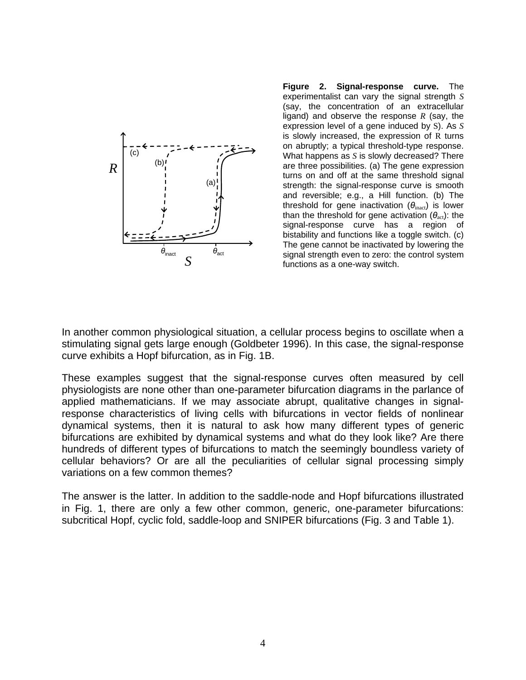

**Figure 2. Signal-response curve.** The experimentalist can vary the signal strength *S* (say, the concentration of an extracellular ligand) and observe the response *R* (say, the expression level of a gene induced by S). As *S* is slowly increased, the expression of R turns on abruptly; a typical threshold-type response. What happens as *S* is slowly decreased? There are three possibilities. (a) The gene expression turns on and off at the same threshold signal strength: the signal-response curve is smooth and reversible; e.g., a Hill function. (b) The threshold for gene inactivation  $(\theta_{\text{inact}})$  is lower than the threshold for gene activation  $(\theta_{\text{act}})$ : the signal-response curve has a region of bistability and functions like a toggle switch. (c) The gene cannot be inactivated by lowering the signal strength even to zero: the control system functions as a one-way switch.

In another common physiological situation, a cellular process begins to oscillate when a stimulating signal gets large enough (Goldbeter 1996). In this case, the signal-response curve exhibits a Hopf bifurcation, as in Fig. 1B.

These examples suggest that the signal-response curves often measured by cell physiologists are none other than one-parameter bifurcation diagrams in the parlance of applied mathematicians. If we may associate abrupt, qualitative changes in signalresponse characteristics of living cells with bifurcations in vector fields of nonlinear dynamical systems, then it is natural to ask how many different types of generic bifurcations are exhibited by dynamical systems and what do they look like? Are there hundreds of different types of bifurcations to match the seemingly boundless variety of cellular behaviors? Or are all the peculiarities of cellular signal processing simply variations on a few common themes?

The answer is the latter. In addition to the saddle-node and Hopf bifurcations illustrated in Fig. 1, there are only a few other common, generic, one-parameter bifurcations: subcritical Hopf, cyclic fold, saddle-loop and SNIPER bifurcations (Fig. 3 and Table 1).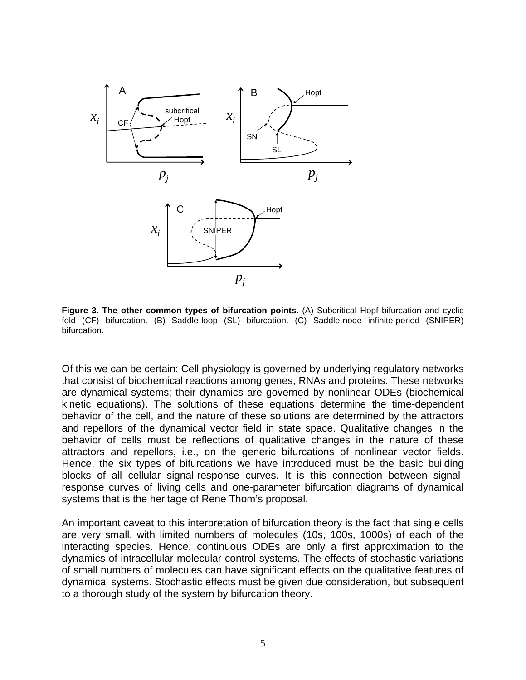

**Figure 3. The other common types of bifurcation points.** (A) Subcritical Hopf bifurcation and cyclic fold (CF) bifurcation. (B) Saddle-loop (SL) bifurcation. (C) Saddle-node infinite-period (SNIPER) bifurcation.

Of this we can be certain: Cell physiology is governed by underlying regulatory networks that consist of biochemical reactions among genes, RNAs and proteins. These networks are dynamical systems; their dynamics are governed by nonlinear ODEs (biochemical kinetic equations). The solutions of these equations determine the time-dependent behavior of the cell, and the nature of these solutions are determined by the attractors and repellors of the dynamical vector field in state space. Qualitative changes in the behavior of cells must be reflections of qualitative changes in the nature of these attractors and repellors, i.e., on the generic bifurcations of nonlinear vector fields. Hence, the six types of bifurcations we have introduced must be the basic building blocks of all cellular signal-response curves. It is this connection between signalresponse curves of living cells and one-parameter bifurcation diagrams of dynamical systems that is the heritage of Rene Thom's proposal.

An important caveat to this interpretation of bifurcation theory is the fact that single cells are very small, with limited numbers of molecules (10s, 100s, 1000s) of each of the interacting species. Hence, continuous ODEs are only a first approximation to the dynamics of intracellular molecular control systems. The effects of stochastic variations of small numbers of molecules can have significant effects on the qualitative features of dynamical systems. Stochastic effects must be given due consideration, but subsequent to a thorough study of the system by bifurcation theory.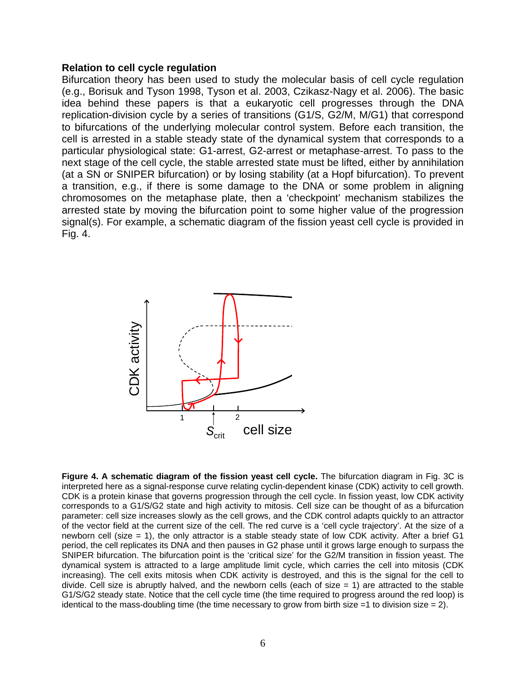### **Relation to cell cycle regulation**

Bifurcation theory has been used to study the molecular basis of cell cycle regulation (e.g., Borisuk and Tyson 1998, Tyson et al. 2003, Czikasz-Nagy et al. 2006). The basic idea behind these papers is that a eukaryotic cell progresses through the DNA replication-division cycle by a series of transitions (G1/S, G2/M, M/G1) that correspond to bifurcations of the underlying molecular control system. Before each transition, the cell is arrested in a stable steady state of the dynamical system that corresponds to a particular physiological state: G1-arrest, G2-arrest or metaphase-arrest. To pass to the next stage of the cell cycle, the stable arrested state must be lifted, either by annihilation (at a SN or SNIPER bifurcation) or by losing stability (at a Hopf bifurcation). To prevent a transition, e.g., if there is some damage to the DNA or some problem in aligning chromosomes on the metaphase plate, then a 'checkpoint' mechanism stabilizes the arrested state by moving the bifurcation point to some higher value of the progression signal(s). For example, a schematic diagram of the fission yeast cell cycle is provided in Fig. 4.



**Figure 4. A schematic diagram of the fission yeast cell cycle.** The bifurcation diagram in Fig. 3C is interpreted here as a signal-response curve relating cyclin-dependent kinase (CDK) activity to cell growth. CDK is a protein kinase that governs progression through the cell cycle. In fission yeast, low CDK activity corresponds to a G1/S/G2 state and high activity to mitosis. Cell size can be thought of as a bifurcation parameter: cell size increases slowly as the cell grows, and the CDK control adapts quickly to an attractor of the vector field at the current size of the cell. The red curve is a 'cell cycle trajectory'. At the size of a newborn cell (size = 1), the only attractor is a stable steady state of low CDK activity. After a brief G1 period, the cell replicates its DNA and then pauses in G2 phase until it grows large enough to surpass the SNIPER bifurcation. The bifurcation point is the 'critical size' for the G2/M transition in fission yeast. The dynamical system is attracted to a large amplitude limit cycle, which carries the cell into mitosis (CDK increasing). The cell exits mitosis when CDK activity is destroyed, and this is the signal for the cell to divide. Cell size is abruptly halved, and the newborn cells (each of size  $= 1$ ) are attracted to the stable G1/S/G2 steady state. Notice that the cell cycle time (the time required to progress around the red loop) is identical to the mass-doubling time (the time necessary to grow from birth size  $=1$  to division size  $= 2$ ).